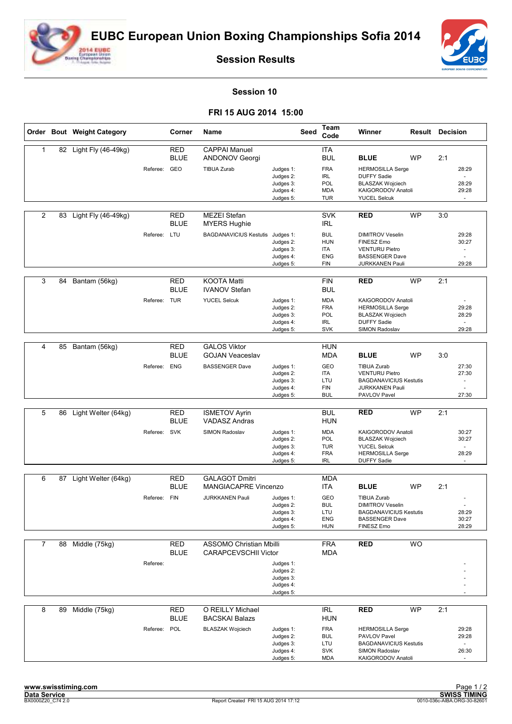



**Session Results**

## **Session 10**

## **FRI 15 AUG 2014 15:00**

|                |    | Order Bout Weight Category |              | Corner                           | <b>Name</b>                                                   |                                                               | <b>Seed</b> | Team<br>Code                                                                            | Winner                                                                                                                               | <b>Result Decision</b> |     |                                                     |
|----------------|----|----------------------------|--------------|----------------------------------|---------------------------------------------------------------|---------------------------------------------------------------|-------------|-----------------------------------------------------------------------------------------|--------------------------------------------------------------------------------------------------------------------------------------|------------------------|-----|-----------------------------------------------------|
| 1              |    | 82 Light Fly (46-49kg)     | Referee:     | <b>RED</b><br><b>BLUE</b><br>GEO | <b>CAPPAI Manuel</b><br>ANDONOV Georgi<br><b>TIBUA Zurab</b>  | Judges 1:<br>Judges 2:<br>Judges 3:<br>Judges 4:<br>Judges 5: |             | <b>ITA</b><br><b>BUL</b><br><b>FRA</b><br><b>IRL</b><br>POL<br><b>MDA</b><br><b>TUR</b> | <b>BLUE</b><br><b>HERMOSILLA Serge</b><br><b>DUFFY Sadie</b><br><b>BLASZAK Wojciech</b><br>KAIGORODOV Anatoli<br><b>YUCEL Selcuk</b> | <b>WP</b>              | 2:1 | 28:29<br>28:29<br>29:28<br>$\sim$                   |
| 2              | 83 | Light Fly (46-49kg)        |              | <b>RED</b><br><b>BLUE</b>        | <b>MEZEI Stefan</b><br><b>MYERS Hughie</b>                    |                                                               |             | <b>SVK</b><br><b>IRL</b>                                                                | <b>RED</b>                                                                                                                           | <b>WP</b>              | 3:0 |                                                     |
|                |    |                            | Referee: LTU |                                  | <b>BAGDANAVICIUS Kestutis</b>                                 | Judges 1:<br>Judges 2:<br>Judges 3:<br>Judges 4:<br>Judges 5: |             | <b>BUL</b><br><b>HUN</b><br><b>ITA</b><br><b>ENG</b><br><b>FIN</b>                      | <b>DIMITROV Veselin</b><br><b>FINESZ Erno</b><br><b>VENTURU Pietro</b><br><b>BASSENGER Dave</b><br><b>JURKKANEN Pauli</b>            |                        |     | 29:28<br>30:27<br>$\overline{\phantom{a}}$<br>29:28 |
| 3              | 84 | Bantam (56kg)              |              | <b>RED</b><br><b>BLUE</b>        | <b>KOOTA Matti</b><br><b>IVANOV Stefan</b>                    |                                                               |             | <b>FIN</b><br><b>BUL</b>                                                                | <b>RED</b>                                                                                                                           | <b>WP</b>              | 2:1 |                                                     |
|                |    |                            | Referee:     | TUR                              | <b>YUCEL Selcuk</b>                                           | Judges 1:<br>Judges 2:<br>Judges 3:<br>Judges 4:<br>Judges 5: |             | <b>MDA</b><br><b>FRA</b><br>POL<br>IRL<br><b>SVK</b>                                    | KAIGORODOV Anatoli<br><b>HERMOSILLA Serge</b><br><b>BLASZAK Wojciech</b><br><b>DUFFY Sadie</b><br>SIMON Radoslav                     |                        |     | $\sim$<br>29:28<br>28:29<br>$\sim$<br>29:28         |
|                |    |                            |              |                                  |                                                               |                                                               |             |                                                                                         |                                                                                                                                      |                        |     |                                                     |
| 4              | 85 | Bantam (56kg)              |              | <b>RED</b><br><b>BLUE</b>        | <b>GALOS Viktor</b><br><b>GOJAN Veaceslav</b>                 |                                                               |             | <b>HUN</b><br><b>MDA</b>                                                                | <b>BLUE</b>                                                                                                                          | WP                     | 3:0 |                                                     |
|                |    |                            | Referee:     | <b>ENG</b>                       | <b>BASSENGER Dave</b>                                         | Judges 1:<br>Judges 2:<br>Judges 3:<br>Judges 4:<br>Judges 5: |             | GEO<br>ITA<br>LTU<br><b>FIN</b><br><b>BUL</b>                                           | <b>TIBUA Zurab</b><br><b>VENTURU Pietro</b><br><b>BAGDANAVICIUS Kestutis</b><br><b>JURKKANEN Pauli</b><br>PAVLOV Pavel               |                        |     | 27:30<br>27:30<br>$\sim$<br>27:30                   |
|                |    |                            |              |                                  |                                                               |                                                               |             |                                                                                         |                                                                                                                                      |                        |     |                                                     |
| 5              | 86 | Light Welter (64kg)        |              | <b>RED</b><br><b>BLUE</b>        | <b>ISMETOV Ayrin</b><br><b>VADASZ Andras</b>                  |                                                               |             | <b>BUL</b><br><b>HUN</b>                                                                | <b>RED</b>                                                                                                                           | <b>WP</b>              | 2:1 |                                                     |
|                |    |                            | Referee: SVK |                                  | SIMON Radoslav                                                | Judges 1:<br>Judges 2:<br>Judges 3:<br>Judges 4:<br>Judges 5: |             | <b>MDA</b><br>POL<br><b>TUR</b><br><b>FRA</b><br>IRL                                    | KAIGORODOV Anatoli<br><b>BLASZAK Wojciech</b><br><b>YUCEL Selcuk</b><br><b>HERMOSILLA Serge</b><br><b>DUFFY Sadie</b>                |                        |     | 30:27<br>30:27<br>28:29<br>$\omega$                 |
| 6              | 87 | Light Welter (64kg)        |              | <b>RED</b>                       | <b>GALAGOT Dmitri</b>                                         |                                                               |             | <b>MDA</b>                                                                              |                                                                                                                                      |                        |     |                                                     |
|                |    |                            |              | <b>BLUE</b>                      | MANGIACAPRE Vincenzo                                          |                                                               |             | <b>ITA</b>                                                                              | <b>BLUE</b>                                                                                                                          | <b>WP</b>              | 2:1 |                                                     |
|                |    |                            | Referee:     | <b>FIN</b>                       | <b>JURKKANEN Pauli</b>                                        | Judges 1:<br>Judges 2:<br>Judges 3:<br>Judges 4:<br>Judges 5: |             | <b>GEO</b><br><b>BUL</b><br>LTU<br><b>ENG</b><br><b>HUN</b>                             | <b>TIBUA Zurab</b><br><b>DIMITROV Veselin</b><br><b>BAGDANAVICIUS Kestutis</b><br><b>BASSENGER Dave</b><br>FINESZ Erno               |                        |     | 28:29<br>30:27<br>28:29                             |
| $\overline{7}$ |    | 88 Middle (75kg)           |              | RED<br><b>BLUE</b>               | <b>ASSOMO Christian Mbilli</b><br><b>CARAPCEVSCHII Victor</b> |                                                               |             | <b>FRA</b><br><b>MDA</b>                                                                | <b>RED</b>                                                                                                                           | WO                     |     |                                                     |
|                |    |                            | Referee:     |                                  |                                                               | Judges 1:<br>Judges 2:<br>Judges 3:<br>Judges 4:<br>Judges 5: |             |                                                                                         |                                                                                                                                      |                        |     |                                                     |
| 8              | 89 | Middle (75kg)              |              | <b>RED</b><br><b>BLUE</b>        | O REILLY Michael<br><b>BACSKAI Balazs</b>                     |                                                               |             | <b>IRL</b><br><b>HUN</b>                                                                | <b>RED</b>                                                                                                                           | <b>WP</b>              | 2:1 |                                                     |
|                |    |                            | Referee: POL |                                  | <b>BLASZAK Wojciech</b>                                       | Judges 1:<br>Judges 2:<br>Judges 3:<br>Judges 4:<br>Judges 5: |             | <b>FRA</b><br><b>BUL</b><br>LTU<br><b>SVK</b><br><b>MDA</b>                             | <b>HERMOSILLA Serge</b><br>PAVLOV Pavel<br><b>BAGDANAVICIUS Kestutis</b><br>SIMON Radoslav<br>KAIGORODOV Anatoli                     |                        |     | 29:28<br>29:28<br>$\overline{\phantom{a}}$<br>26:30 |